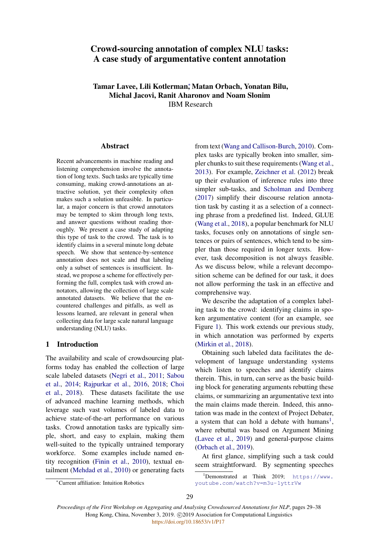# Crowd-sourcing annotation of complex NLU tasks: A case study of argumentative content annotation

Tamar Lavee, Lili Kotlerman; Matan Orbach, Yonatan Bilu, Michal Jacovi, Ranit Aharonov and Noam Slonim IBM Research

**Abstract** 

Recent advancements in machine reading and listening comprehension involve the annotation of long texts. Such tasks are typically time consuming, making crowd-annotations an attractive solution, yet their complexity often makes such a solution unfeasible. In particular, a major concern is that crowd annotators may be tempted to skim through long texts, and answer questions without reading thoroughly. We present a case study of adapting this type of task to the crowd. The task is to identify claims in a several minute long debate speech. We show that sentence-by-sentence annotation does not scale and that labeling only a subset of sentences is insufficient. Instead, we propose a scheme for effectively performing the full, complex task with crowd annotators, allowing the collection of large scale annotated datasets. We believe that the encountered challenges and pitfalls, as well as lessons learned, are relevant in general when collecting data for large scale natural language understanding (NLU) tasks.

#### 1 Introduction

The availability and scale of crowdsourcing platforms today has enabled the collection of large scale labeled datasets [\(Negri et al.,](#page-9-0) [2011;](#page-9-0) [Sabou](#page-9-1) [et al.,](#page-9-1) [2014;](#page-9-1) [Rajpurkar et al.,](#page-9-2) [2016,](#page-9-2) [2018;](#page-9-3) [Choi](#page-8-0) [et al.,](#page-8-0) [2018\)](#page-8-0). These datasets facilitate the use of advanced machine learning methods, which leverage such vast volumes of labeled data to achieve state-of-the-art performance on various tasks. Crowd annotation tasks are typically simple, short, and easy to explain, making them well-suited to the typically untrained temporary workforce. Some examples include named entity recognition [\(Finin et al.,](#page-8-1) [2010\)](#page-8-1), textual entailment [\(Mehdad et al.,](#page-8-2) [2010\)](#page-8-2) or generating facts

from text [\(Wang and Callison-Burch,](#page-9-4) [2010\)](#page-9-4). Complex tasks are typically broken into smaller, simpler chunks to suit these requirements [\(Wang et al.,](#page-9-5) [2013\)](#page-9-5). For example, [Zeichner et al.](#page-9-6) [\(2012\)](#page-9-6) break up their evaluation of inference rules into three simpler sub-tasks, and [Scholman and Demberg](#page-9-7) [\(2017\)](#page-9-7) simplify their discourse relation annotation task by casting it as a selection of a connecting phrase from a predefined list. Indeed, GLUE [\(Wang et al.,](#page-9-8) [2018\)](#page-9-8), a popular benchmark for NLU tasks, focuses only on annotations of single sentences or pairs of sentences, which tend to be simpler than those required in longer texts. However, task decomposition is not always feasible. As we discuss below, while a relevant decomposition scheme can be defined for our task, it does not allow performing the task in an effective and comprehensive way.

We describe the adaptation of a complex labeling task to the crowd: identifying claims in spoken argumentative content (for an example, see Figure [1\)](#page-1-0). This work extends our previous study, in which annotation was performed by experts [\(Mirkin et al.,](#page-8-3) [2018\)](#page-8-3).

Obtaining such labeled data facilitates the development of language understanding systems which listen to speeches and identify claims therein. This, in turn, can serve as the basic building block for generating arguments rebutting these claims, or summarizing an argumentative text into the main claims made therein. Indeed, this annotation was made in the context of Project Debater, a system that can hold a debate with humans<sup>[1](#page-0-0)</sup>, where rebuttal was based on Argument Mining [\(Lavee et al.,](#page-8-4) [2019\)](#page-8-4) and general-purpose claims [\(Orbach et al.,](#page-9-9) [2019\)](#page-9-9).

At first glance, simplifying such a task could seem straightforward. By segmenting speeches

[youtube.com/watch?v=m3u-1yttrVw](https://www.youtube.com/watch?v=m3u-1yttrVw)

<span id="page-0-0"></span><sup>1</sup>Demonstrated at Think 2019; [https://www.](https://www.youtube.com/watch?v=m3u-1yttrVw)

*Proceedings of the First Workshop on Aggregating and Analysing Crowdsourced Annotations for NLP*, pages 29–38 Hong Kong, China, November 3, 2019. C 2019 Association for Computational Linguistics

<sup>∗</sup>Current affiliation: Intuition Robotics

<sup>29</sup>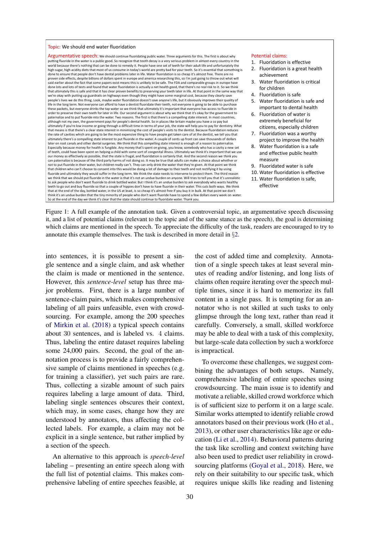#### <span id="page-1-0"></span>Topic: We should end water fluoridation

Argumentative speech: We should continue fluoridating public water. Three arguments for this. The first is about why putting fluoride in the water is a public good. So recognize that tooth decay is a very serious problem in almost every country in the world because there's nothing that can be done to remedy it. People have one set of teeth for their adult life and unfortunately the<br>high sugar, high acidity diets that most of us consume in today's world are pretty bad fo done to ensure that people don't have dental problems later in life. Water fluoridation is so cheap it's almost free. There are no proven side effects, despite billions of dollars spent in europe and america researching this, so I'm just going to throw out what will said earlier about the fact that some papers exist means this is unlikely to be safe. The FDA and comparable groups in europe have done lots and lots of tests and found that water fluoridation is actually a net health good, that there's no real risk to it. So we think<br>that ultimately this is safe and that it has clear proven benefits to preserving you we're okay with putting up guardrails on highways even though they might have some marginal cost, because they clearly save people's lives we do this thing. Look, maybe water fluoridation doesn't save anyone's life, but it obviously improves their quality of life in the long term. Not everyone can afford to have a dentist fluoridate their teeth, not everyone is going to be able to purchase<br>these packets, but everyone drinks the tap water so we think that ultimately it's import order to preserve their own teeth for later in life. Our second argument is about why we think that it's okay for the government to paternalize and to put fluoride into the water. Two reasons. The first is that there's a compelling state interest. In most countries, although not my own, the government pays for people's dental health. So in places like britain maybe you have a co pay but ultimately if you're low income or going through a difficult time in terms of your job, the state will help you to pay for dentistry. What<br>that means is that there's a clear state interest in minimizing the cost of people' the rate of cavities which are going to be the most expensive thing to have people get taken care of at the dentist, we tell you that ultimately there's a compelling state interest to put fluoride in the water. A couple of cents up front can save thousands of dollars later on root canals and other dental surgeries. We think that this compelling state interest is enough of a reason to paternalize. Especially because money for health is fungible. Any money that's spent on giving, you know, somebody who has a cavity a new set of teeth, could have been spent on helping a child with some sort of congenital illness. Ultimately we think it's important that we use our money as effectively as possible, that the state is frugal, and fluoridation is certainly that. And the second reason we think you can paternalize is because of the third party harms of not doing so. It may be true that adults can make a choice about whether or not to put fluoride in their water, but children really can't. They can only drink the water that they're given. At that point we think that children who can't choose to consent into this would be doing a lot of damage to their teeth and not rectifying it by using fluoride and ultimately they would suffer in the long term. We think the state needs to intervene to protect them. The third reason we think that we should put fluoride in the water is that it's not an undue burden on anyone. Will tries to tell you that it's unrealistic to ask people who don't want fluoride to drink bottled water. But I think it's an undue burden to ask everybody who wants healthy teeth to go out and buy fluoride so that a couple of hippies don't have to have fluoride in their water. This cuts both ways. We think that at the end of the day, bottled water, in the US at least, is so cheap it's almost free if you buy it in bulk. At that point we don't think it's an undue burden that the tiny minority of people who don't want fluoride have to spend a few dollars every week on water. So at the end of the day we think it's clear that the state should continue to fluoridate water. Thank you.

#### Potential claims:

1. Fluoridation is effective

- 2. Fluoridation is a great health achievement
- Water fluoridation is critical for children
- 4. Fluoridation is safe
- 5. Water fluoridation is safe and important to dental health
- 6. Fluoridation of water is extremely beneficial for citizens, especially children
- 7. Fluoridation was a worthy project to improve the health
- 8. Water fluoridation is a safe and effective public health measure
- 9. Fluoridated water is safe
- 10. Water fluoridation is effective
- 11. Water fluoridation is safe, effective

Figure 1: A full example of the annotation task. Given a controversial topic, an argumentative speech discussing it, and a list of potential claims (relevant to the topic and of the same stance as the speech), the goal is determining which claims are mentioned in the speech. To appreciate the difficulty of the task, readers are encouraged to try to annotate this example themselves. The task is described in more detail in §[2.](#page-2-0)

into sentences, it is possible to present a single sentence and a single claim, and ask whether the claim is made or mentioned in the sentence. However, this *sentence-level* setup has three major problems. First, there is a large number of sentence-claim pairs, which makes comprehensive labeling of all pairs unfeasible, even with crowdsourcing. For example, among the 200 speeches of [Mirkin et al.](#page-8-3) [\(2018\)](#page-8-3) a typical speech contains about 30 sentences, and is labeled vs. 4 claims. Thus, labeling the entire dataset requires labeling some 24,000 pairs. Second, the goal of the annotation process is to provide a fairly comprehensive sample of claims mentioned in speeches (e.g. for training a classifier), yet such pairs are rare. Thus, collecting a sizable amount of such pairs requires labeling a large amount of data. Third, labeling single sentences obscures their context, which may, in some cases, change how they are understood by annotators, thus affecting the collected labels. For example, a claim may not be explicit in a single sentence, but rather implied by a section of the speech.

An alternative to this approach is *speech-level* labeling – presenting an entire speech along with the full list of potential claims. This makes comprehensive labeling of entire speeches feasible, at the cost of added time and complexity. Annotation of a single speech takes at least several minutes of reading and/or listening, and long lists of claims often require iterating over the speech multiple times, since it is hard to memorize its full content in a single pass. It is tempting for an annotator who is not skilled at such tasks to only glimpse through the long text, rather than read it carefully. Conversely, a small, skilled workforce may be able to deal with a task of this complexity, but large-scale data collection by such a workforce is impractical.

To overcome these challenges, we suggest combining the advantages of both setups. Namely, comprehensive labeling of entire speeches using crowdsourcing. The main issue is to identify and motivate a reliable, skilled crowd workforce which is of sufficient size to perform it on a large scale. Similar works attempted to identify reliable crowd annotators based on their previous work [\(Ho et al.,](#page-8-5) [2013\)](#page-8-5), or other user characteristics like age or education [\(Li et al.,](#page-8-6) [2014\)](#page-8-6). Behavioral patterns during the task like scrolling and context switching have also been used to predict user reliability in crowdsourcing platforms [\(Goyal et al.,](#page-8-7) [2018\)](#page-8-7). Here, we rely on their suitability to our specific task, which requires unique skills like reading and listening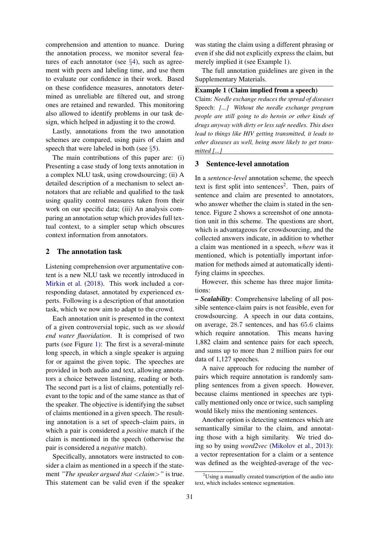comprehension and attention to nuance. During the annotation process, we monitor several features of each annotator (see §[4\)](#page-3-0), such as agreement with peers and labeling time, and use them to evaluate our confidence in their work. Based on these confidence measures, annotators determined as unreliable are filtered out, and strong ones are retained and rewarded. This monitoring also allowed to identify problems in our task design, which helped in adjusting it to the crowd.

Lastly, annotations from the two annotation schemes are compared, using pairs of claim and speech that were labeled in both (see §[5\)](#page-7-0).

The main contributions of this paper are: (i) Presenting a case study of long texts annotation in a complex NLU task, using crowdsourcing; (ii) A detailed description of a mechanism to select annotators that are reliable and qualified to the task using quality control measures taken from their work on our specific data; (iii) An analysis comparing an annotation setup which provides full textual context, to a simpler setup which obscures context information from annotators.

#### <span id="page-2-0"></span>2 The annotation task

Listening comprehension over argumentative content is a new NLU task we recently introduced in [Mirkin et al.](#page-8-3) [\(2018\)](#page-8-3). This work included a corresponding dataset, annotated by experienced experts. Following is a description of that annotation task, which we now aim to adapt to the crowd.

Each annotation unit is presented in the context of a given controversial topic, such as *we should end water fluoridation*. It is comprised of two parts (see Figure [1\)](#page-1-0): The first is a several-minute long speech, in which a single speaker is arguing for or against the given topic. The speeches are provided in both audio and text, allowing annotators a choice between listening, reading or both. The second part is a list of claims, potentially relevant to the topic and of the same stance as that of the speaker. The objective is identifying the subset of claims mentioned in a given speech. The resulting annotation is a set of speech–claim pairs, in which a pair is considered a *positive* match if the claim is mentioned in the speech (otherwise the pair is considered a *negative* match).

Specifically, annotators were instructed to consider a claim as mentioned in a speech if the statement *"The speaker argued that* <*claim*>*"* is true. This statement can be valid even if the speaker

was stating the claim using a different phrasing or even if she did not explicitly express the claim, but merely implied it (see Example [1\)](#page-2-1).

<span id="page-2-1"></span>The full annotation guidelines are given in the Supplementary Materials.

#### Example 1 (Claim implied from a speech)

Claim: *Needle exchange reduces the spread of diseases* Speech: *[...] Without the needle exchange program people are still going to do heroin or other kinds of drugs anyway with dirty or less safe needles. This does lead to things like HIV getting transmitted, it leads to other diseases as well, being more likely to get transmitted [...]*

## <span id="page-2-3"></span>3 Sentence-level annotation

In a *sentence-level* annotation scheme, the speech text is first split into sentences<sup>[2](#page-2-2)</sup>. Then, pairs of sentence and claim are presented to annotators, who answer whether the claim is stated in the sentence. Figure [2](#page-3-1) shows a screenshot of one annotation unit in this scheme. The questions are short, which is advantageous for crowdsourcing, and the collected answers indicate, in addition to whether a claim was mentioned in a speech, *where* was it mentioned, which is potentially important information for methods aimed at automatically identifying claims in speeches.

However, this scheme has three major limitations:

*– Scalability*: Comprehensive labeling of all possible sentence-claim pairs is not feasible, even for crowdsourcing. A speech in our data contains, on average, 28.7 sentences, and has 65.6 claims which require annotation. This means having 1,882 claim and sentence pairs for each speech, and sums up to more than 2 million pairs for our data of 1,127 speeches.

A naive approach for reducing the number of pairs which require annotation is randomly sampling sentences from a given speech. However, because claims mentioned in speeches are typically mentioned only once or twice, such sampling would likely miss the mentioning sentences.

Another option is detecting sentences which are semantically similar to the claim, and annotating those with a high similarity. We tried doing so by using *word2vec* [\(Mikolov et al.,](#page-8-8) [2013\)](#page-8-8): a vector representation for a claim or a sentence was defined as the weighted-average of the vec-

<span id="page-2-2"></span> $2^2$ Using a manually created transcription of the audio into text, which includes sentence segmentation.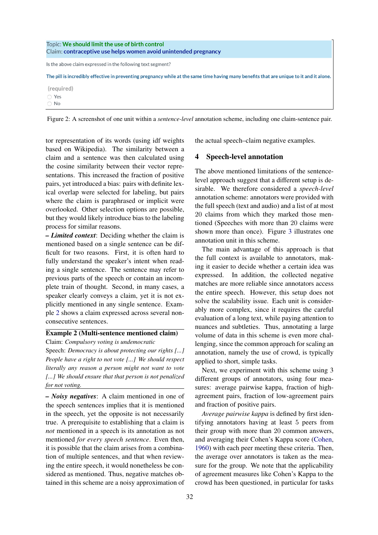<span id="page-3-1"></span>

| Topic: We should limit the use of birth control<br>Claim: contraceptive use helps women avoid unintended pregnancy                       |  |  |  |  |
|------------------------------------------------------------------------------------------------------------------------------------------|--|--|--|--|
| Is the above claim expressed in the following text segment?                                                                              |  |  |  |  |
| The pill is incredibly effective in preventing pregnancy while at the same time having many benefits that are unique to it and it alone. |  |  |  |  |
| (required)                                                                                                                               |  |  |  |  |
| ◯ Yes                                                                                                                                    |  |  |  |  |
| $\bigcirc$ No                                                                                                                            |  |  |  |  |

Figure 2: A screenshot of one unit within a *sentence-level* annotation scheme, including one claim-sentence pair.

tor representation of its words (using idf weights based on Wikipedia). The similarity between a claim and a sentence was then calculated using the cosine similarity between their vector representations. This increased the fraction of positive pairs, yet introduced a bias: pairs with definite lexical overlap were selected for labeling, but pairs where the claim is paraphrased or implicit were overlooked. Other selection options are possible, but they would likely introduce bias to the labeling process for similar reasons.

*– Limited context*: Deciding whether the claim is mentioned based on a single sentence can be difficult for two reasons. First, it is often hard to fully understand the speaker's intent when reading a single sentence. The sentence may refer to previous parts of the speech or contain an incomplete train of thought. Second, in many cases, a speaker clearly conveys a claim, yet it is not explicitly mentioned in any single sentence. Example [2](#page-3-2) shows a claim expressed across several nonconsecutive sentences.

# <span id="page-3-2"></span>Example 2 (Multi-sentence mentioned claim) Claim: *Compulsory voting is undemocratic*

Speech: *Democracy is about protecting our rights [...] People have a right to not vote [...] We should respect literally any reason a person might not want to vote [...] We should ensure that that person is not penalized for not voting.*

*– Noisy negatives*: A claim mentioned in one of the speech sentences implies that it is mentioned in the speech, yet the opposite is not necessarily true. A prerequisite to establishing that a claim is *not* mentioned in a speech is its annotation as not mentioned *for every speech sentence*. Even then, it is possible that the claim arises from a combination of multiple sentences, and that when reviewing the entire speech, it would nonetheless be considered as mentioned. Thus, negative matches obtained in this scheme are a noisy approximation of the actual speech–claim negative examples.

#### <span id="page-3-0"></span>4 Speech-level annotation

The above mentioned limitations of the sentencelevel approach suggest that a different setup is desirable. We therefore considered a *speech-level* annotation scheme: annotators were provided with the full speech (text and audio) and a list of at most 20 claims from which they marked those mentioned (Speeches with more than 20 claims were shown more than once). Figure [3](#page-4-0) illustrates one annotation unit in this scheme.

The main advantage of this approach is that the full context is available to annotators, making it easier to decide whether a certain idea was expressed. In addition, the collected negative matches are more reliable since annotators access the entire speech. However, this setup does not solve the scalability issue. Each unit is considerably more complex, since it requires the careful evaluation of a long text, while paying attention to nuances and subtleties. Thus, annotating a large volume of data in this scheme is even more challenging, since the common approach for scaling an annotation, namely the use of crowd, is typically applied to short, simple tasks.

Next, we experiment with this scheme using 3 different groups of annotators, using four measures: average pairwise kappa, fraction of highagreement pairs, fraction of low-agreement pairs and fraction of positive pairs.

*Average pairwise kappa* is defined by first identifying annotators having at least 5 peers from their group with more than 20 common answers, and averaging their Cohen's Kappa score [\(Cohen,](#page-8-9) [1960\)](#page-8-9) with each peer meeting these criteria. Then, the average over annotators is taken as the measure for the group. We note that the applicability of agreement measures like Cohen's Kappa to the crowd has been questioned, in particular for tasks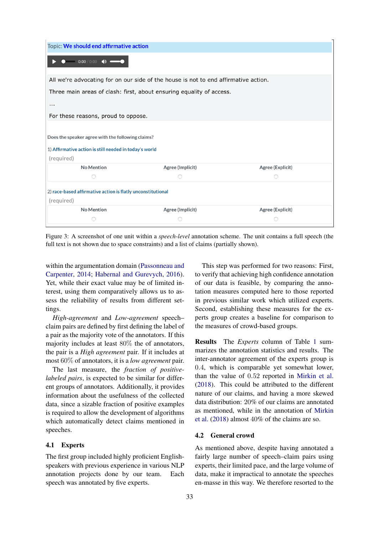<span id="page-4-0"></span>

| Topic: We should end affirmative action                                             |                  |                  |  |  |  |  |
|-------------------------------------------------------------------------------------|------------------|------------------|--|--|--|--|
| $0:00 / 0:00$ (1)                                                                   |                  |                  |  |  |  |  |
| All we're advocating for on our side of the house is not to end affirmative action. |                  |                  |  |  |  |  |
| Three main areas of clash: first, about ensuring equality of access.                |                  |                  |  |  |  |  |
| .                                                                                   |                  |                  |  |  |  |  |
| For these reasons, proud to oppose.                                                 |                  |                  |  |  |  |  |
|                                                                                     |                  |                  |  |  |  |  |
| Does the speaker agree with the following claims?                                   |                  |                  |  |  |  |  |
| 1) Affirmative action is still needed in today's world                              |                  |                  |  |  |  |  |
| (required)                                                                          |                  |                  |  |  |  |  |
| No Mention                                                                          | Agree (Implicit) | Agree (Explicit) |  |  |  |  |
|                                                                                     |                  |                  |  |  |  |  |
| 2) race-based affirmative action is flatly unconstitutional                         |                  |                  |  |  |  |  |
|                                                                                     |                  |                  |  |  |  |  |
| (required)                                                                          |                  |                  |  |  |  |  |
| No Mention                                                                          | Agree (Implicit) | Agree (Explicit) |  |  |  |  |

Figure 3: A screenshot of one unit within a *speech-level* annotation scheme. The unit contains a full speech (the full text is not shown due to space constraints) and a list of claims (partially shown).

within the argumentation domain [\(Passonneau and](#page-9-10) [Carpenter,](#page-9-10) [2014;](#page-9-10) [Habernal and Gurevych,](#page-8-10) [2016\)](#page-8-10). Yet, while their exact value may be of limited interest, using them comparatively allows us to assess the reliability of results from different settings.

*High-agreement* and *Low-agreement* speech– claim pairs are defined by first defining the label of a pair as the majority vote of the annotators. If this majority includes at least 80% the of annotators, the pair is a *High agreement* pair. If it includes at most 60% of annotators, it is a *low agreement* pair.

The last measure, the *fraction of positivelabeled pairs*, is expected to be similar for different groups of annotators. Additionally, it provides information about the usefulness of the collected data, since a sizable fraction of positive examples is required to allow the development of algorithms which automatically detect claims mentioned in speeches.

#### 4.1 Experts

The first group included highly proficient Englishspeakers with previous experience in various NLP annotation projects done by our team. Each speech was annotated by five experts.

This step was performed for two reasons: First, to verify that achieving high confidence annotation of our data is feasible, by comparing the annotation measures computed here to those reported in previous similar work which utilized experts. Second, establishing these measures for the experts group creates a baseline for comparison to the measures of crowd-based groups.

Results The *Experts* column of Table [1](#page-5-0) summarizes the annotation statistics and results. The inter-annotator agreement of the experts group is 0.4, which is comparable yet somewhat lower, than the value of 0.52 reported in [Mirkin et al.](#page-8-3) [\(2018\)](#page-8-3). This could be attributed to the different nature of our claims, and having a more skewed data distribution: 20% of our claims are annotated as mentioned, while in the annotation of [Mirkin](#page-8-3) [et al.](#page-8-3) [\(2018\)](#page-8-3) almost 40% of the claims are so.

## 4.2 General crowd

As mentioned above, despite having annotated a fairly large number of speech–claim pairs using experts, their limited pace, and the large volume of data, make it impractical to annotate the speeches en-masse in this way. We therefore resorted to the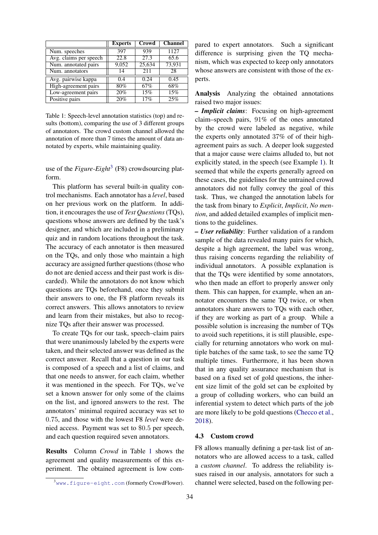<span id="page-5-0"></span>

|                        | <b>Experts</b> | Crowd  | <b>Channel</b> |
|------------------------|----------------|--------|----------------|
| Num. speeches          | 397            | 939    | 1127           |
| Avg. claims per speech | 22.8           | 27.3   | 65.6           |
| Num. annotated pairs   | 9,052          | 25,634 | 73,931         |
| Num. annotators        | 14             | 211    | 28             |
| Avg. pairwise kappa    | 0.4            | 0.24   | 0.45           |
| High-agreement pairs   | 80%            | 67%    | 68%            |
| Low-agreement pairs    | 20%            | 15%    | 15%            |
| Positive pairs         | 20%            | 17%    | 25%            |

Table 1: Speech-level annotation statistics (top) and results (bottom), comparing the use of 3 different groups of annotators. The crowd custom channel allowed the annotation of more than 7 times the amount of data annotated by experts, while maintaining quality.

use of the *Figure-Eight*<sup>[3](#page-5-1)</sup> (F8) crowdsourcing platform.

This platform has several built-in quality control mechanisms. Each annotator has a *level*, based on her previous work on the platform. In addition, it encourages the use of *Test Questions*(TQs), questions whose answers are defined by the task's designer, and which are included in a preliminary quiz and in random locations throughout the task. The accuracy of each annotator is then measured on the TQs, and only those who maintain a high accuracy are assigned further questions (those who do not are denied access and their past work is discarded). While the annotators do not know which questions are TQs beforehand, once they submit their answers to one, the F8 platform reveals its correct answers. This allows annotators to review and learn from their mistakes, but also to recognize TQs after their answer was processed.

To create TQs for our task, speech–claim pairs that were unanimously labeled by the experts were taken, and their selected answer was defined as the correct answer. Recall that a question in our task is composed of a speech and a list of claims, and that one needs to answer, for each claim, whether it was mentioned in the speech. For TQs, we've set a known answer for only some of the claims on the list, and ignored answers to the rest. The annotators' minimal required accuracy was set to 0.75, and those with the lowest F8 *level* were denied access. Payment was set to \$0.5 per speech, and each question required seven annotators.

Results Column *Crowd* in Table [1](#page-5-0) shows the agreement and quality measurements of this experiment. The obtained agreement is low com-

34

pared to expert annotators. Such a significant difference is surprising given the TO mechanism, which was expected to keep only annotators whose answers are consistent with those of the experts.

Analysis Analyzing the obtained annotations raised two major issues:

*– Implicit claims*: Focusing on high-agreement claim–speech pairs, 91% of the ones annotated by the crowd were labeled as negative, while the experts only annotated 37% of of their highagreement pairs as such. A deeper look suggested that a major cause were claims alluded to, but not explicitly stated, in the speech (see Example [1\)](#page-2-1). It seemed that while the experts generally agreed on these cases, the guidelines for the untrained crowd annotators did not fully convey the goal of this task. Thus, we changed the annotation labels for the task from binary to *Explicit*, *Implicit*, *No mention*, and added detailed examples of implicit mentions to the guidelines.

*– User reliability*: Further validation of a random sample of the data revealed many pairs for which, despite a high agreement, the label was wrong, thus raising concerns regarding the reliability of individual annotators. A possible explanation is that the TQs were identified by some annotators, who then made an effort to properly answer only them. This can happen, for example, when an annotator encounters the same TQ twice, or when annotators share answers to TQs with each other, if they are working as part of a group. While a possible solution is increasing the number of TQs to avoid such repetitions, it is still plausible, especially for returning annotators who work on multiple batches of the same task, to see the same TQ multiple times. Furthermore, it has been shown that in any quality assurance mechanism that is based on a fixed set of gold questions, the inherent size limit of the gold set can be exploited by a group of colluding workers, who can build an inferential system to detect which parts of the job are more likely to be gold questions [\(Checco et al.,](#page-8-11) [2018\)](#page-8-11).

#### 4.3 Custom crowd

F8 allows manually defining a per-task list of annotators who are allowed access to a task, called a *custom channel*. To address the reliability issues raised in our analysis, annotators for such a channel were selected, based on the following per-

<span id="page-5-1"></span> $3$ <sub>WWW</sub>.figure-eight.com (formerly CrowdFlower).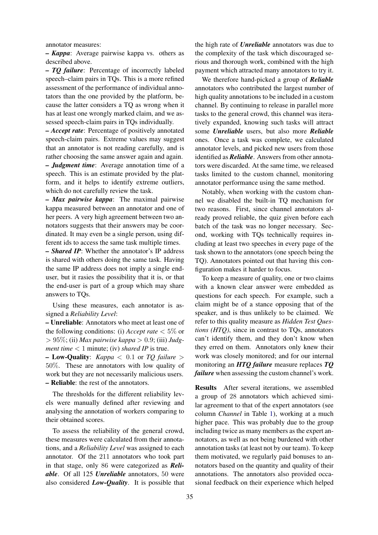annotator measures:

*– Kappa*: Average pairwise kappa vs. others as described above.

*– TQ failure*: Percentage of incorrectly labeled speech–claim pairs in TQs. This is a more refined assessment of the performance of individual annotators than the one provided by the platform, because the latter considers a TQ as wrong when it has at least one wrongly marked claim, and we assessed speech-claim pairs in TQs individually.

*– Accept rate*: Percentage of positively annotated speech-claim pairs. Extreme values may suggest that an annotator is not reading carefully, and is rather choosing the same answer again and again. *– Judgment time*: Average annotation time of a speech. This is an estimate provided by the platform, and it helps to identify extreme outliers, which do not carefully review the task.

*– Max pairwise kappa*: The maximal pairwise kappa measured between an annotator and one of her peers. A very high agreement between two annotators suggests that their answers may be coordinated. It may even be a single person, using different ids to access the same task multiple times.

*– Shared IP*: Whether the annotator's IP address is shared with others doing the same task. Having the same IP address does not imply a single enduser, but it rasies the possibility that it is, or that the end-user is part of a group which may share answers to TQs.

Using these measures, each annotator is assigned a *Reliability Level*:

*–* Unreliable: Annotators who meet at least one of the following conditions: (i) *Accept rate*  $< 5\%$  or > 95%; (ii) *Max pairwise kappa* > 0.9; (iii) *Judgment time* < 1 minute; (iv) *shared IP* is true.

*–* Low-Quality: *Kappa* < 0.1 or *TQ failure* > 50%. These are annotators with low quality of work but they are not necessarily malicious users. *–* Reliable: the rest of the annotators.

The thresholds for the different reliability levels were manually defined after reviewing and analysing the annotation of workers comparing to their obtained scores.

To assess the reliability of the general crowd, these measures were calculated from their annotations, and a *Reliability Level* was assigned to each annotator. Of the 211 annotators who took part in that stage, only 86 were categorized as *Reliable*. Of all 125 *Unreliable* annotators, 50 were also considered *Low-Quality*. It is possible that

the high rate of *Unreliable* annotators was due to the complexity of the task which discouraged serious and thorough work, combined with the high payment which attracted many annotators to try it.

We therefore hand-picked a group of *Reliable* annotators who contributed the largest number of high quality annotations to be included in a custom channel. By continuing to release in parallel more tasks to the general crowd, this channel was iteratively expanded, knowing such tasks will attract some *Unreliable* users, but also more *Reliable* ones. Once a task was complete, we calculated annotator levels, and picked new users from those identified as *Reliable*. Answers from other annotators were discarded. At the same time, we released tasks limited to the custom channel, monitoring annotator performance using the same method.

Notably, when working with the custom channel we disabled the built-in TQ mechanism for two reasons. First, since channel annotators already proved reliable, the quiz given before each batch of the task was no longer necessary. Second, working with TQs technically requires including at least two speeches in every page of the task shown to the annotators (one speech being the TQ). Annotators pointed out that having this configuration makes it harder to focus.

To keep a measure of quality, one or two claims with a known clear answer were embedded as questions for each speech. For example, such a claim might be of a stance opposing that of the speaker, and is thus unlikely to be claimed. We refer to this quality measure as *Hidden Test Questions (HTQ)*, since in contrast to TQs, annotators can't identify them, and they don't know when they erred on them. Annotators only knew their work was closely monitored; and for our internal monitoring an *HTQ failure* measure replaces *TQ failure* when assessing the custom channel's work.

Results After several iterations, we assembled a group of 28 annotators which achieved similar agreement to that of the expert annotators (see column *Channel* in Table [1\)](#page-5-0), working at a much higher pace. This was probably due to the group including twice as many members as the expert annotators, as well as not being burdened with other annotation tasks (at least not by our team). To keep them motivated, we regularly paid bonuses to annotators based on the quantity and quality of their annotations. The annotators also provided occasional feedback on their experience which helped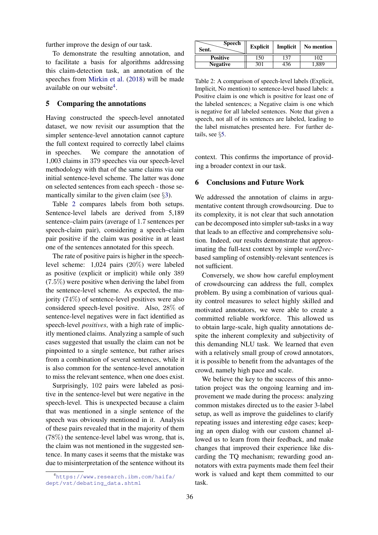further improve the design of our task.

To demonstrate the resulting annotation, and to facilitate a basis for algorithms addressing this claim-detection task, an annotation of the speeches from [Mirkin et al.](#page-8-3) [\(2018\)](#page-8-3) will be made available on our website<sup>[4](#page-7-1)</sup>.

## <span id="page-7-0"></span>5 Comparing the annotations

Having constructed the speech-level annotated dataset, we now revisit our assumption that the simpler sentence-level annotation cannot capture the full context required to correctly label claims in speeches. We compare the annotation of 1,003 claims in 379 speeches via our speech-level methodology with that of the same claims via our initial sentence-level scheme. The latter was done on selected sentences from each speech - those semantically similar to the given claim (see  $\S$ [3\)](#page-2-3).

Table [2](#page-7-2) compares labels from both setups. Sentence-level labels are derived from 5,189 sentence–claim pairs (average of 1.7 sentences per speech-claim pair), considering a speech–claim pair positive if the claim was positive in at least one of the sentences annotated for this speech.

The rate of positive pairs is higher in the speechlevel scheme: 1,024 pairs (20%) were labeled as positive (explicit or implicit) while only 389  $(7.5\%)$  were positive when deriving the label from the sentence-level scheme. As expected, the majority (74%) of sentence-level positives were also considered speech-level positive. Also, 28% of sentence-level negatives were in fact identified as speech-level *positives*, with a high rate of implicitly mentioned claims. Analyzing a sample of such cases suggested that usually the claim can not be pinpointed to a single sentence, but rather arises from a combination of several sentences, while it is also common for the sentence-level annotation to miss the relevant sentence, when one does exist.

Surprisingly, 102 pairs were labeled as positive in the sentence-level but were negative in the speech-level. This is unexpected because a claim that was mentioned in a single sentence of the speech was obviously mentioned in it. Analysis of these pairs revealed that in the majority of them (78%) the sentence-level label was wrong, that is, the claim was not mentioned in the suggested sentence. In many cases it seems that the mistake was due to misinterpretation of the sentence without its

<span id="page-7-2"></span>

| <b>Speech</b><br>Sent. | <b>Explicit</b> | Implicit | No mention |
|------------------------|-----------------|----------|------------|
| <b>Positive</b>        | 50ء             | -37      | 102        |
| <b>Negative</b>        | 301             | 436      | .889       |

Table 2: A comparison of speech-level labels (Explicit, Implicit, No mention) to sentence-level based labels: a Positive claim is one which is positive for least one of the labeled sentences; a Negative claim is one which is negative for all labeled sentences. Note that given a speech, not all of its sentences are labeled, leading to the label mismatches presented here. For further details, see §[5.](#page-7-0)

context. This confirms the importance of providing a broader context in our task.

#### 6 Conclusions and Future Work

We addressed the annotation of claims in argumentative content through crowdsourcing. Due to its complexity, it is not clear that such annotation can be decomposed into simpler sub-tasks in a way that leads to an effective and comprehensive solution. Indeed, our results demonstrate that approximating the full-text context by simple *word2vec*based sampling of ostensibly-relevant sentences is not sufficient.

Conversely, we show how careful employment of crowdsourcing can address the full, complex problem. By using a combination of various quality control measures to select highly skilled and motivated annotators, we were able to create a committed reliable workforce. This allowed us to obtain large-scale, high quality annotations despite the inherent complexity and subjectivity of this demanding NLU task. We learned that even with a relatively small group of crowd annotators, it is possible to benefit from the advantages of the crowd, namely high pace and scale.

We believe the key to the success of this annotation project was the ongoing learning and improvement we made during the process: analyzing common mistakes directed us to the easier 3-label setup, as well as improve the guidelines to clarify repeating issues and interesting edge cases; keeping an open dialog with our custom channel allowed us to learn from their feedback, and make changes that improved their experience like discarding the TQ mechanism; rewarding good annotators with extra payments made them feel their work is valued and kept them committed to our task.

<span id="page-7-1"></span><sup>4</sup>[https://www.research.ibm.com/haifa/](https://www.research.ibm.com/haifa/dept/vst/debating_data.shtml) [dept/vst/debating\\_data.shtml](https://www.research.ibm.com/haifa/dept/vst/debating_data.shtml)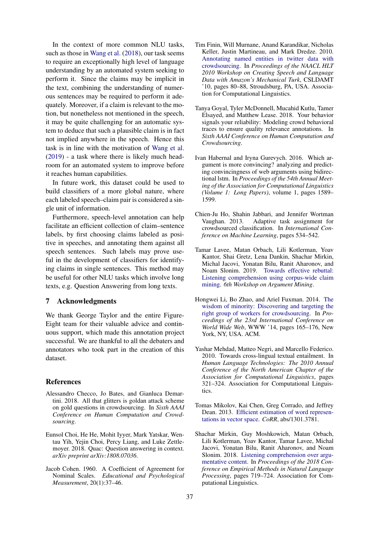In the context of more common NLU tasks, such as those in [Wang et al.](#page-9-8) [\(2018\)](#page-9-8), our task seems to require an exceptionally high level of language understanding by an automated system seeking to perform it. Since the claims may be implicit in the text, combining the understanding of numerous sentences may be required to perform it adequately. Moreover, if a claim is relevant to the motion, but nonetheless not mentioned in the speech, it may be quite challenging for an automatic system to deduce that such a plausible claim is in fact not implied anywhere in the speech. Hence this task is in line with the motivation of [Wang et al.](#page-9-11) [\(2019\)](#page-9-11) - a task where there is likely much headroom for an automated system to improve before it reaches human capabilities.

In future work, this dataset could be used to build classifiers of a more global nature, where each labeled speech–claim pair is considered a single unit of information.

Furthermore, speech-level annotation can help facilitate an efficient collection of claim–sentence labels, by first choosing claims labeled as positive in speeches, and annotating them against all speech sentences. Such labels may prove useful in the development of classifiers for identifying claims in single sentences. This method may be useful for other NLU tasks which involve long texts, e.g. Question Answering from long texts.

#### 7 Acknowledgments

We thank George Taylor and the entire Figure-Eight team for their valuable advice and continuous support, which made this annotation project successful. We are thankful to all the debaters and annotators who took part in the creation of this dataset.

#### **References**

- <span id="page-8-11"></span>Alessandro Checco, Jo Bates, and Gianluca Demartini. 2018. All that glitters is goldan attack scheme on gold questions in crowdsourcing. In *Sixth AAAI Conference on Human Computation and Crowdsourcing*.
- <span id="page-8-0"></span>Eunsol Choi, He He, Mohit Iyyer, Mark Yatskar, Wentau Yih, Yejin Choi, Percy Liang, and Luke Zettlemoyer. 2018. Quac: Question answering in context. *arXiv preprint arXiv:1808.07036*.
- <span id="page-8-9"></span>Jacob Cohen. 1960. A Coefficient of Agreement for Nominal Scales. *Educational and Psychological Measurement*, 20(1):37–46.
- <span id="page-8-1"></span>Tim Finin, Will Murnane, Anand Karandikar, Nicholas Keller, Justin Martineau, and Mark Dredze. 2010. [Annotating named entities in twitter data with](http://dl.acm.org/citation.cfm?id=1866696.1866709) [crowdsourcing.](http://dl.acm.org/citation.cfm?id=1866696.1866709) In *Proceedings of the NAACL HLT 2010 Workshop on Creating Speech and Language Data with Amazon's Mechanical Turk*, CSLDAMT '10, pages 80–88, Stroudsburg, PA, USA. Association for Computational Linguistics.
- <span id="page-8-7"></span>Tanya Goyal, Tyler McDonnell, Mucahid Kutlu, Tamer Elsayed, and Matthew Lease. 2018. Your behavior signals your reliability: Modeling crowd behavioral traces to ensure quality relevance annotations. In *Sixth AAAI Conference on Human Computation and Crowdsourcing*.
- <span id="page-8-10"></span>Ivan Habernal and Iryna Gurevych. 2016. Which argument is more convincing? analyzing and predicting convincingness of web arguments using bidirectional lstm. In *Proceedings of the 54th Annual Meeting of the Association for Computational Linguistics (Volume 1: Long Papers)*, volume 1, pages 1589– 1599.
- <span id="page-8-5"></span>Chien-Ju Ho, Shahin Jabbari, and Jennifer Wortman Vaughan. 2013. Adaptive task assignment for crowdsourced classification. In *International Conference on Machine Learning*, pages 534–542.
- <span id="page-8-4"></span>Tamar Lavee, Matan Orbach, Lili Kotlerman, Yoav Kantor, Shai Gretz, Lena Dankin, Shachar Mirkin, Michal Jacovi, Yonatan Bilu, Ranit Aharonov, and Noam Slonim. 2019. [Towards effective rebuttal:](http://arxiv.org/abs/1907.11889) [Listening comprehension using corpus-wide claim](http://arxiv.org/abs/1907.11889) [mining.](http://arxiv.org/abs/1907.11889) *6th Workshop on Argument Mining*.
- <span id="page-8-6"></span>Hongwei Li, Bo Zhao, and Ariel Fuxman. 2014. [The](https://doi.org/10.1145/2566486.2568033) [wisdom of minority: Discovering and targeting the](https://doi.org/10.1145/2566486.2568033) [right group of workers for crowdsourcing.](https://doi.org/10.1145/2566486.2568033) In *Proceedings of the 23rd International Conference on World Wide Web*, WWW '14, pages 165–176, New York, NY, USA. ACM.
- <span id="page-8-2"></span>Yashar Mehdad, Matteo Negri, and Marcello Federico. 2010. Towards cross-lingual textual entailment. In *Human Language Technologies: The 2010 Annual Conference of the North American Chapter of the Association for Computational Linguistics*, pages 321–324. Association for Computational Linguistics.
- <span id="page-8-8"></span>Tomas Mikolov, Kai Chen, Greg Corrado, and Jeffrey Dean. 2013. [Efficient estimation of word represen](http://arxiv.org/abs/1301.3781)[tations in vector space.](http://arxiv.org/abs/1301.3781) *CoRR*, abs/1301.3781.
- <span id="page-8-3"></span>Shachar Mirkin, Guy Moshkowich, Matan Orbach, Lili Kotlerman, Yoav Kantor, Tamar Lavee, Michal Jacovi, Yonatan Bilu, Ranit Aharonov, and Noam Slonim. 2018. [Listening comprehension over argu](http://aclweb.org/anthology/D18-1078)[mentative content.](http://aclweb.org/anthology/D18-1078) In *Proceedings of the 2018 Conference on Empirical Methods in Natural Language Processing*, pages 719–724. Association for Computational Linguistics.